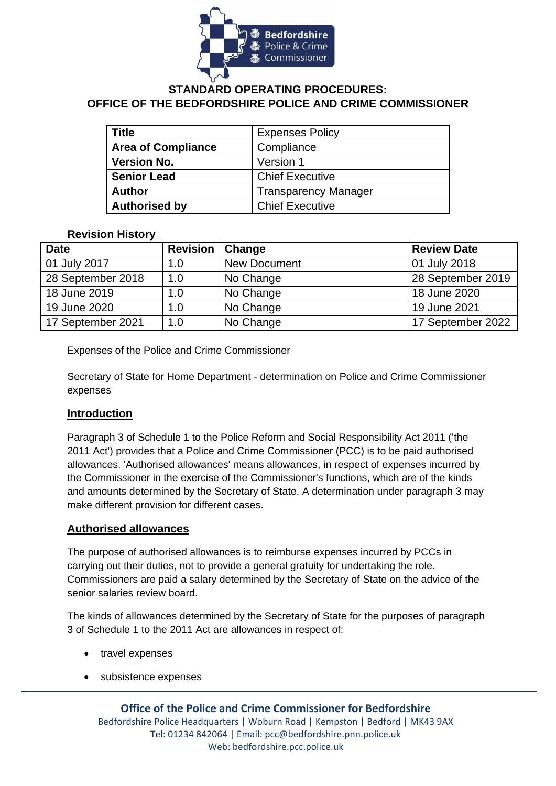

# **STANDARD OPERATING PROCEDURES: OFFICE OF THE BEDFORDSHIRE POLICE AND CRIME COMMISSIONER**

| Title                     | <b>Expenses Policy</b>      |  |
|---------------------------|-----------------------------|--|
| <b>Area of Compliance</b> | Compliance                  |  |
| <b>Version No.</b>        | Version 1                   |  |
| <b>Senior Lead</b>        | <b>Chief Executive</b>      |  |
| <b>Author</b>             | <b>Transparency Manager</b> |  |
| <b>Authorised by</b>      | <b>Chief Executive</b>      |  |

#### **Revision History**

| <b>Date</b>       | <b>Revision</b> | Change              | <b>Review Date</b> |
|-------------------|-----------------|---------------------|--------------------|
| 01 July 2017      | 1.0             | <b>New Document</b> | 01 July 2018       |
| 28 September 2018 | 1.0             | No Change           | 28 September 2019  |
| 18 June 2019      | 1.0             | No Change           | 18 June 2020       |
| 19 June 2020      | 1.0             | No Change           | 19 June 2021       |
| 17 September 2021 | 1.0             | No Change           | 17 September 2022  |

Expenses of the Police and Crime Commissioner

Secretary of State for Home Department - determination on Police and Crime Commissioner expenses

### **Introduction**

Paragraph 3 of Schedule 1 to the Police Reform and Social Responsibility Act 2011 ('the 2011 Act') provides that a Police and Crime Commissioner (PCC) is to be paid authorised allowances. 'Authorised allowances' means allowances, in respect of expenses incurred by the Commissioner in the exercise of the Commissioner's functions, which are of the kinds and amounts determined by the Secretary of State. A determination under paragraph 3 may make different provision for different cases.

#### **Authorised allowances**

The purpose of authorised allowances is to reimburse expenses incurred by PCCs in carrying out their duties, not to provide a general gratuity for undertaking the role. Commissioners are paid a salary determined by the Secretary of State on the advice of the senior salaries review board.

The kinds of allowances determined by the Secretary of State for the purposes of paragraph 3 of Schedule 1 to the 2011 Act are allowances in respect of:

- travel expenses
- subsistence expenses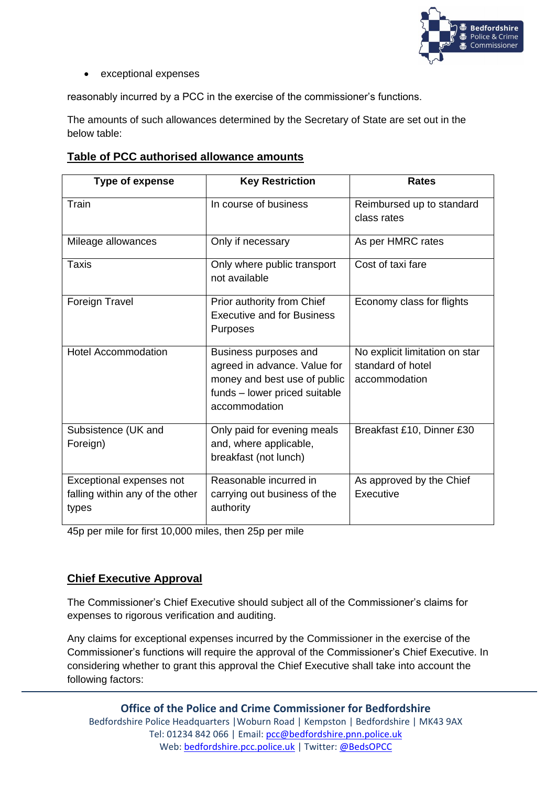

#### • exceptional expenses

reasonably incurred by a PCC in the exercise of the commissioner's functions.

The amounts of such allowances determined by the Secretary of State are set out in the below table:

### **Table of PCC authorised allowance amounts**

| <b>Type of expense</b>                                               | <b>Key Restriction</b>                                                                                                                  | <b>Rates</b>                                                         |
|----------------------------------------------------------------------|-----------------------------------------------------------------------------------------------------------------------------------------|----------------------------------------------------------------------|
| Train                                                                | In course of business                                                                                                                   | Reimbursed up to standard<br>class rates                             |
| Mileage allowances                                                   | Only if necessary                                                                                                                       | As per HMRC rates                                                    |
| Taxis                                                                | Only where public transport<br>not available                                                                                            | Cost of taxi fare                                                    |
| Foreign Travel                                                       | Prior authority from Chief<br><b>Executive and for Business</b><br>Purposes                                                             | Economy class for flights                                            |
| <b>Hotel Accommodation</b>                                           | Business purposes and<br>agreed in advance. Value for<br>money and best use of public<br>funds – lower priced suitable<br>accommodation | No explicit limitation on star<br>standard of hotel<br>accommodation |
| Subsistence (UK and<br>Foreign)                                      | Only paid for evening meals<br>and, where applicable,<br>breakfast (not lunch)                                                          | Breakfast £10, Dinner £30                                            |
| Exceptional expenses not<br>falling within any of the other<br>types | Reasonable incurred in<br>carrying out business of the<br>authority                                                                     | As approved by the Chief<br>Executive                                |

45p per mile for first 10,000 miles, then 25p per mile

### **Chief Executive Approval**

The Commissioner's Chief Executive should subject all of the Commissioner's claims for expenses to rigorous verification and auditing.

Any claims for exceptional expenses incurred by the Commissioner in the exercise of the Commissioner's functions will require the approval of the Commissioner's Chief Executive. In considering whether to grant this approval the Chief Executive shall take into account the following factors:

**Office of the Police and Crime Commissioner for Bedfordshire** Bedfordshire Police Headquarters |Woburn Road | Kempston | Bedfordshire | MK43 9AX Tel: 01234 842 066 | Email: [pcc@bedfordshire.pnn.police.uk](mailto:pcc@bedfordshire.pnn.police.uk) Web: [bedfordshire.pcc.police.uk](http://www.bedfordshire.pcc.police.uk/) | Twitter: [@BedsOPCC](https://twitter.com/BedsPCC)